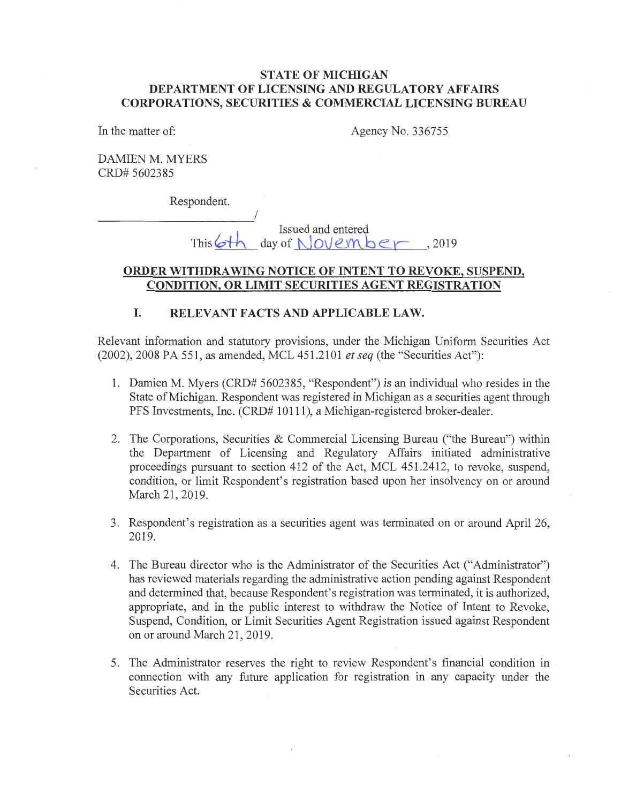## **STATE OF MICHIGAN DEPARTMENT OF LICENSING AND REGULATORY AFFAIRS CORPORATIONS, SECURITIES & COMMERCIAL LICENSING BUREAU**

In the matter of:

Agency No. 336755

DAMIEN M. MYERS CRD# 5602385

Respondent.

Issued and entered  $day of NolveMber. 2019$ 

#### **ORDER WITHDRAWING NOTICE OF INTENT TO REVOKE, SUSPEND, CONDITION, OR LIMIT SECURITIES AGENT REGISTRATION**

# **I. RELEVANT FACTS AND APPLICABLE LAW.**

I

Relevant information and statutory provisions, under the Michigan Uniform Securities Act (2002), 2008 PA 551, as amended, MCL 451.2101 *et seq* (the "Securities Act"):

- 1. Damien M. Myers (CRD# 5602385, "Respondent") is an individual who resides in the State of Michigan. Respondent was registered in Michigan as a securities agent through PFS Investments, Inc. (CRD# 10111), a Michigan-registered broker-dealer.
- 2. The Corporations, Securities & Commercial Licensing Bureau ("the Bureau") within the Department of Licensing and Regulatory Affairs initiated administrative proceedings pursuant to section 412 of the Act, MCL 451.2412, to revoke, suspend, condition, or limit Respondent's registration based upon her insolvency on or around March 21, 2019.
- 3. Respondent's registration as a securities agent was terminated on or around April 26, 2019.
- 4. The Bureau director who is the Administrator of the Securities Act ("Administrator") has reviewed materials regarding the administrative action pending against Respondent and determined that, because Respondent's registration was terminated, it is authorized, appropriate, and in the public interest to withdraw the Notice of Intent to Revoke, Suspend, Condition, or Limit Securities Agent Registration issued against Respondent on or around March 21, 2019.
- 5. The Administrator reserves the right to review Respondent's financial condition in . connection with any future application for registration in any capacity under the Securities Act.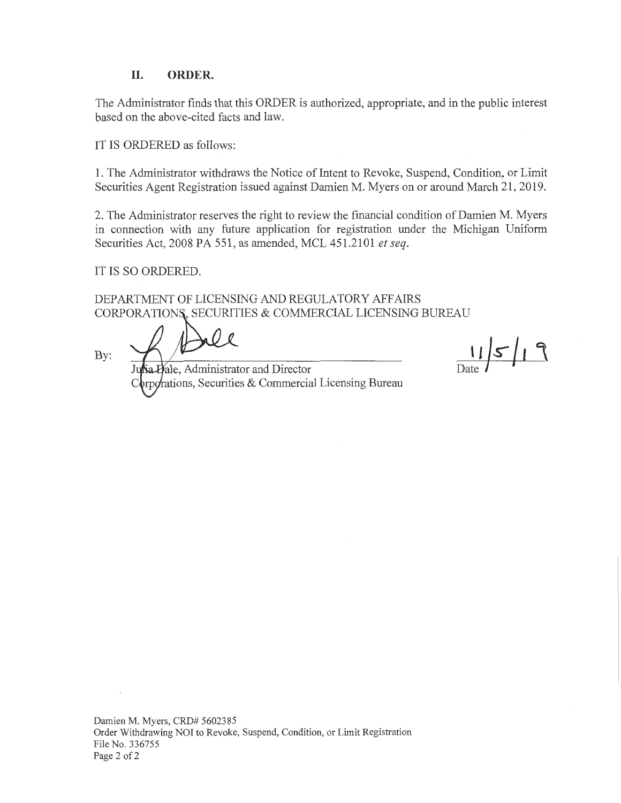#### **II. ORDER.**

The Administrator finds that this ORDER is authorized, appropriate, and in the public interest based on the above-cited facts and law.

IT IS ORDERED as follows:

1. The Administrator withdraws the Notice of Intent to Revoke, Suspend, Condition, or Limit Securities Agent Registration issued against Damien M. Myers on or around March 21, 2019.

2. The Administrator reserves the right to review the financial condition of Damien M. Myers in connection with any future application for registration under the Michigan Uniform Securities Act, 2008 PA 551, as amended, MCL 451.2101 *et seq.* 

IT IS SO ORDERED.

DEPARTMENT OF LICENSING AND REGULATORY AFFAIRS CORPORATIONS, SECURITIES & COMMERCIAL LICENSING BUREAU

By:

ale, Administrator and Director ations, Securities & Commercial Licensing Bureau

 $115/19$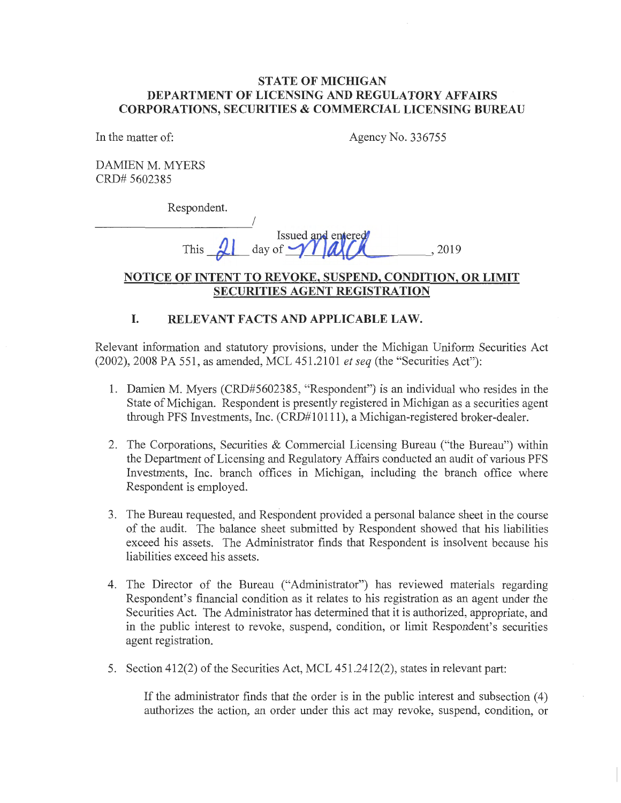## **STATE OF MICHIGAN DEPARTMENT OF LICENSING AND REGULATORY AFFAIRS CORPORATIONS, SECURITIES & COMMERCIAL LICENSING BUREAU**

In the matter of: Agency No. 336755

DAMIEN M. MYERS CRD# 5602385

Respondent.

This <u>21</u> day of **WAA** 

# **NOTICE OF INTENT TO REVOKE, SUSPEND, CONDITION, OR LIMIT SECURITIES AGENT REGISTRATION**

# **I. RELEVANT FACTS AND APPLICABLE LAW.**

Relevant information and statutory provisions, under the Michigan Uniform Securities Act (2002), 2008 PA 551, as amended, MCL 451.2101 *et seq* (the "Securities Act"):

- 1. Damien M. Myers (CRD#5602385, "Respondent") is an individual who resides in the State of Michigan. Respondent is presently registered in Michigan as a securities agent through PFS Investments, Inc. (CRD#l0l 11), a Michigan-registered broker-dealer.
- 2. The Corporations, Securities & Commercial Licensing Bureau ("the Bureau") within the Department of Licensing and Regulatory Affairs conducted an audit of various PFS Investments, Inc. branch offices in Michigan, including the branch office where Respondent is employed.
- 3. The Bureau requested, and Respondent provided a personal balance sheet in the course of the audit. The balance sheet submitted by Respondent showed that his liabilities exceed his assets. The Administrator finds that Respondent is insolvent because his liabilities exceed his assets.
- 4. The Director of the Bureau ("Administrator") has reviewed materials regarding Respondent's financial condition as it relates to his registration as an agent under the Securities Act. The Administrator has determined that it is authorized, appropriate, and in the public interest to revoke, suspend, condition, or limit Respondent's securities agent registration.
- 5. Section 412(2) of the Securities Act, MCL 451.2412(2), states in relevant part:

If the administrator finds that the order is in the public interest and subsection ( 4) authorizes the action, an order under this act may revoke, suspend, condition, or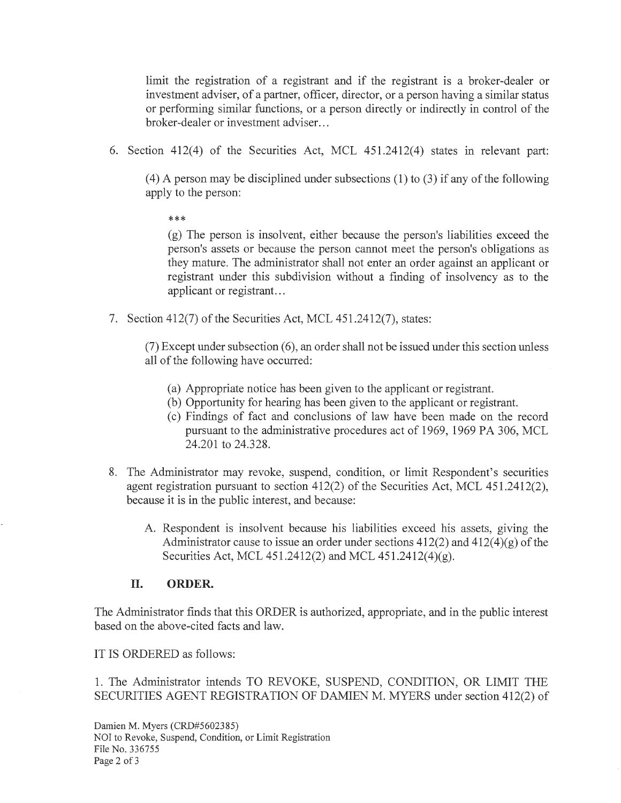limit the registration of a registrant and if the registrant is a broker-dealer or investment adviser, of a partner, officer, director, or a person having a similar status or performing similar functions, or a person directly or indirectly in control of the broker-dealer or investment adviser...

6. Section 412(4) of the Securities Act, MCL 451.2412(4) states in relevant part:

 $(4)$  A person may be disciplined under subsections  $(1)$  to  $(3)$  if any of the following apply to the person:

\*\*\*

(g) The person is insolvent, either because the person's liabilities exceed the person's assets or because the person cannot meet the person's obligations as they mature. The administrator shall not enter an order against an applicant or registrant under this subdivision without a finding of insolvency as to the applicant or registrant...

7. Section 412(7) of the Securities Act, MCL 451.2412(7), states:

 $(7)$  Except under subsection  $(6)$ , an order shall not be issued under this section unless all of the following have occurred:

- (a) Appropriate notice has been given to the applicant or registrant.
- (b) Opportunity for hearing has been given to the applicant or registrant.
- ( c) Findings of fact and conclusions of law have been made on the record pursuant to the administrative procedures act of 1969, 1969 PA 306, MCL 24.201 to 24.328.
- 8. The Administrator may revoke, suspend, condition, or limit Respondent's securities agent registration pursuant to section 412(2) of the Securities Act, MCL 451.2412(2), because it is in the public interest, and because:
	- A. Respondent is insolvent because his liabilities exceed his assets, giving the Administrator cause to issue an order under sections  $412(2)$  and  $412(4)(g)$  of the Securities Act, MCL 451.2412(2) and MCL 451.2412(4)(g).

## **II. ORDER.**

The Administrator finds that this ORDER is authorized, appropriate, and in the public interest based on the above-cited facts and law.

IT IS ORDERED as follows:

1. The Administrator intends TO REVOKE, SUSPEND, CONDITION, OR LIMIT THE SECURITIES AGENT REGISTRATION OF DAMIEN M. MYERS under section 412(2) of